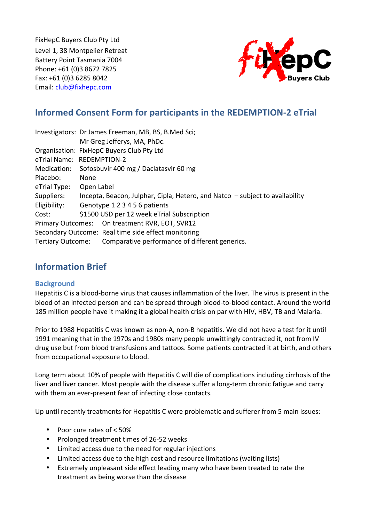FixHepC Buyers Club Pty Ltd Level 1, 38 Montpelier Retreat Battery Point Tasmania 7004 Phone: +61 (0)3 8672 7825 Fax: +61 (0)3 6285 8042 Email: club@fixhepc.com



# **Informed Consent Form for participants in the REDEMPTION-2 eTrial**

|                   |                                                                              | Investigators: Dr James Freeman, MB, BS, B.Med Sci; |
|-------------------|------------------------------------------------------------------------------|-----------------------------------------------------|
|                   |                                                                              | Mr Greg Jefferys, MA, PhDc.                         |
|                   | Organisation: FixHepC Buyers Club Pty Ltd                                    |                                                     |
|                   | eTrial Name: REDEMPTION-2                                                    |                                                     |
| Medication:       | Sofosbuvir 400 mg / Daclatasvir 60 mg                                        |                                                     |
| Placebo:          | None                                                                         |                                                     |
| eTrial Type:      | Open Label                                                                   |                                                     |
| Suppliers:        | Incepta, Beacon, Julphar, Cipla, Hetero, and Natco – subject to availability |                                                     |
| Eligibility:      | Genotype 1 2 3 4 5 6 patients                                                |                                                     |
| Cost:             |                                                                              | \$1500 USD per 12 week eTrial Subscription          |
|                   |                                                                              | Primary Outcomes: On treatment RVR, EOT, SVR12      |
|                   |                                                                              | Secondary Outcome: Real time side effect monitoring |
| Tertiary Outcome: |                                                                              | Comparative performance of different generics.      |

## **Information Brief**

## **Background**

Hepatitis C is a blood-borne virus that causes inflammation of the liver. The virus is present in the blood of an infected person and can be spread through blood-to-blood contact. Around the world 185 million people have it making it a global health crisis on par with HIV, HBV, TB and Malaria.

Prior to 1988 Hepatitis C was known as non-A, non-B hepatitis. We did not have a test for it until 1991 meaning that in the 1970s and 1980s many people unwittingly contracted it, not from IV drug use but from blood transfusions and tattoos. Some patients contracted it at birth, and others from occupational exposure to blood.

Long term about 10% of people with Hepatitis C will die of complications including cirrhosis of the liver and liver cancer. Most people with the disease suffer a long-term chronic fatigue and carry with them an ever-present fear of infecting close contacts.

Up until recently treatments for Hepatitis C were problematic and sufferer from 5 main issues:

- Poor cure rates of < 50%
- Prolonged treatment times of 26-52 weeks
- Limited access due to the need for regular injections
- Limited access due to the high cost and resource limitations (waiting lists)
- Extremely unpleasant side effect leading many who have been treated to rate the treatment as being worse than the disease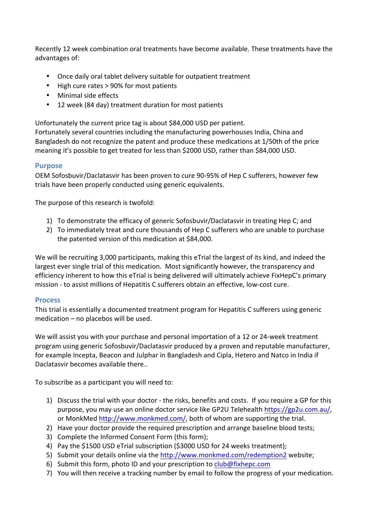Recently 12 week combination oral treatments have become available. These treatments have the advantages of:

- Once daily oral tablet delivery suitable for outpatient treatment
- High cure rates > 90% for most patients
- Minimal side effects
- 12 week (84 day) treatment duration for most patients

Unfortunately the current price tag is about \$84,000 USD per patient.

Fortunately several countries including the manufacturing powerhouses India, China and Bangladesh do not recognize the patent and produce these medications at 1/50th of the price meaning it's possible to get treated for less than \$2000 USD, rather than \$84,000 USD.

## **Purpose**

OEM Sofosbuvir/Daclatasvir has been proven to cure 90-95% of Hep C sufferers, however few trials have been properly conducted using generic equivalents.

The purpose of this research is twofold:

- 1) To demonstrate the efficacy of generic Sofosbuvir/Daclatasvir in treating Hep C; and
- 2) To immediately treat and cure thousands of Hep C sufferers who are unable to purchase the patented version of this medication at \$84,000.

We will be recruiting 3,000 participants, making this eTrial the largest of its kind, and indeed the largest ever single trial of this medication. Most significantly however, the transparency and efficiency inherent to how this eTrial is being delivered will ultimately achieve FixHepC's primary mission - to assist millions of Hepatitis C sufferers obtain an effective, low-cost cure.

#### **Process**

This trial is essentially a documented treatment program for Hepatitis C sufferers using generic  $mediation - no places$  will be used.

We will assist you with your purchase and personal importation of a 12 or 24-week treatment program using generic Sofosbuvir/Daclatasvir produced by a proven and reputable manufacturer, for example Incepta, Beacon and Julphar in Bangladesh and Cipla, Hetero and Natco in India if Daclatasvir becomes available there..

To subscribe as a participant you will need to:

- 1) Discuss the trial with your doctor the risks, benefits and costs. If you require a GP for this purpose, you may use an online doctor service like GP2U Telehealth https://gp2u.com.au/, or MonkMed http://www.monkmed.com/, both of whom are supporting the trial.
- 2) Have your doctor provide the required prescription and arrange baseline blood tests;
- 3) Complete the Informed Consent Form (this form);
- 4) Pay the \$1500 USD eTrial subscription (\$3000 USD for 24 weeks treatment);
- 5) Submit your details online via the http://www.monkmed.com/redemption2 website;
- 6) Submit this form, photo ID and your prescription to  $\frac{club@fixhepc.com}{$
- 7) You will then receive a tracking number by email to follow the progress of your medication.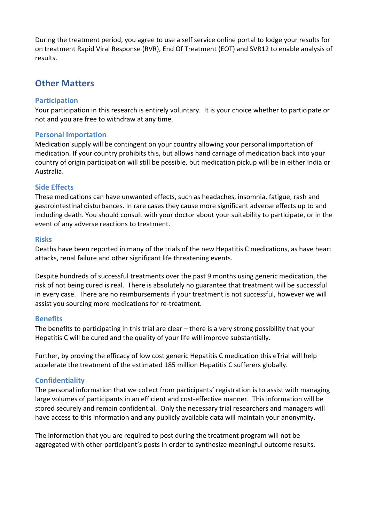During the treatment period, you agree to use a self service online portal to lodge your results for on treatment Rapid Viral Response (RVR), End Of Treatment (EOT) and SVR12 to enable analysis of results. 

## **Other Matters**

#### **Participation**

Your participation in this research is entirely voluntary. It is your choice whether to participate or not and you are free to withdraw at any time.

## **Personal Importation**

Medication supply will be contingent on your country allowing your personal importation of medication. If your country prohibits this, but allows hand carriage of medication back into your country of origin participation will still be possible, but medication pickup will be in either India or Australia.

## **Side Effects**

These medications can have unwanted effects, such as headaches, insomnia, fatigue, rash and gastrointestinal disturbances. In rare cases they cause more significant adverse effects up to and including death. You should consult with your doctor about your suitability to participate, or in the event of any adverse reactions to treatment.

#### **Risks**

Deaths have been reported in many of the trials of the new Hepatitis C medications, as have heart attacks, renal failure and other significant life threatening events.

Despite hundreds of successful treatments over the past 9 months using generic medication, the risk of not being cured is real. There is absolutely no guarantee that treatment will be successful in every case. There are no reimbursements if your treatment is not successful, however we will assist you sourcing more medications for re-treatment.

#### **Benefits**

The benefits to participating in this trial are clear – there is a very strong possibility that your Hepatitis C will be cured and the quality of your life will improve substantially.

Further, by proving the efficacy of low cost generic Hepatitis C medication this eTrial will help accelerate the treatment of the estimated 185 million Hepatitis C sufferers globally.

## **Confidentiality**

The personal information that we collect from participants' registration is to assist with managing large volumes of participants in an efficient and cost-effective manner. This information will be stored securely and remain confidential. Only the necessary trial researchers and managers will have access to this information and any publicly available data will maintain your anonymity.

The information that you are required to post during the treatment program will not be aggregated with other participant's posts in order to synthesize meaningful outcome results.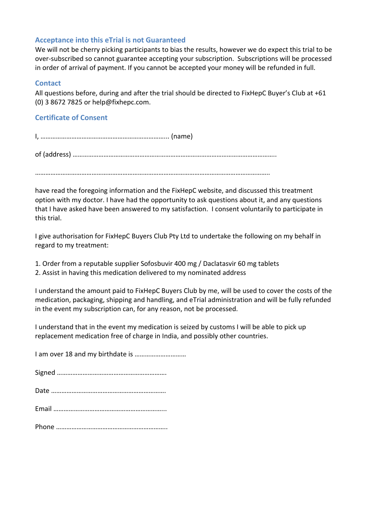## **Acceptance into this eTrial is not Guaranteed**

We will not be cherry picking participants to bias the results, however we do expect this trial to be over-subscribed so cannot guarantee accepting your subscription. Subscriptions will be processed in order of arrival of payment. If you cannot be accepted your money will be refunded in full.

## **Contact**

All questions before, during and after the trial should be directed to FixHepC Buyer's Club at +61 (0) 3 8672 7825 or help@fixhepc.com.

## **Certificate of Consent**

I, ………………………………………………………………... (name)

of (address) ………………………………………………………………………………………………………..

. The contract of the contract of the contract of the contract of the contract of the contract of the contract of the contract of the contract of the contract of the contract of the contract of the contract of the contrac

have read the foregoing information and the FixHepC website, and discussed this treatment option with my doctor. I have had the opportunity to ask questions about it, and any questions that I have asked have been answered to my satisfaction. I consent voluntarily to participate in this trial.

I give authorisation for FixHepC Buyers Club Pty Ltd to undertake the following on my behalf in regard to my treatment:

- 1. Order from a reputable supplier Sofosbuvir 400 mg / Daclatasvir 60 mg tablets
- 2. Assist in having this medication delivered to my nominated address

I understand the amount paid to FixHepC Buyers Club by me, will be used to cover the costs of the medication, packaging, shipping and handling, and eTrial administration and will be fully refunded in the event my subscription can, for any reason, not be processed.

I understand that in the event my medication is seized by customs I will be able to pick up replacement medication free of charge in India, and possibly other countries.

I am over 18 and my birthdate is …………………………

Signed ………………………………………………………. Date …………………………………………………………. Email ………………………………………………………... Phone ………………………………………………………..